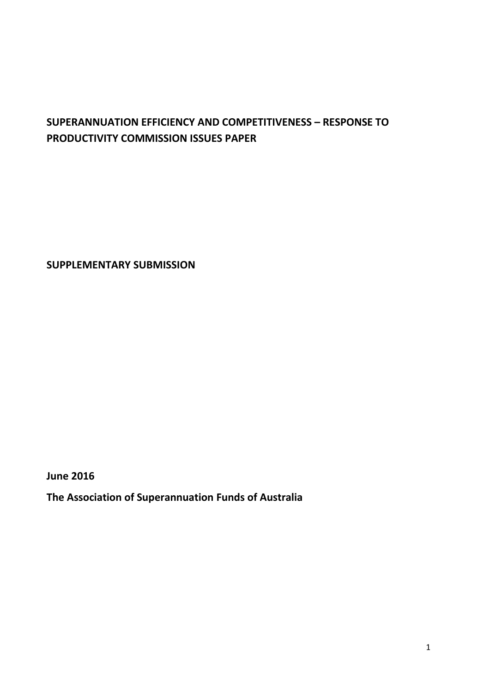# **SUPERANNUATION EFFICIENCY AND COMPETITIVENESS – RESPONSE TO PRODUCTIVITY COMMISSION ISSUES PAPER**

**SUPPLEMENTARY SUBMISSION**

**June 2016**

**The Association of Superannuation Funds of Australia**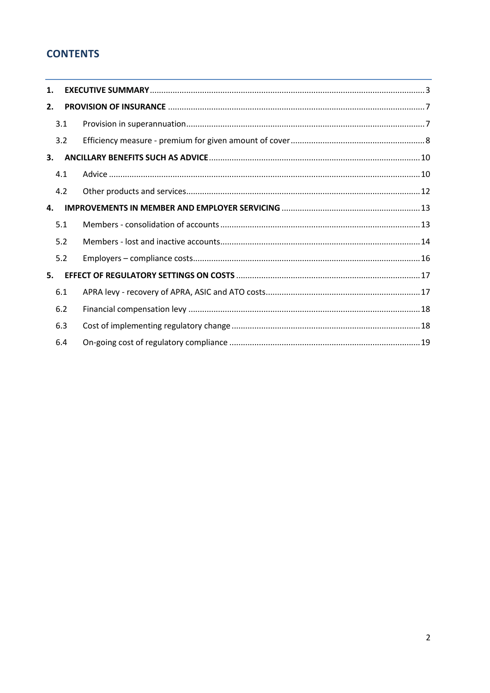## **CONTENTS**

| 1. |     |  |  |
|----|-----|--|--|
| 2. |     |  |  |
|    | 3.1 |  |  |
|    | 3.2 |  |  |
| 3. |     |  |  |
|    | 4.1 |  |  |
|    | 4.2 |  |  |
| 4. |     |  |  |
|    | 5.1 |  |  |
|    | 5.2 |  |  |
|    | 5.2 |  |  |
| 5. |     |  |  |
|    | 6.1 |  |  |
|    | 6.2 |  |  |
|    | 6.3 |  |  |
|    | 6.4 |  |  |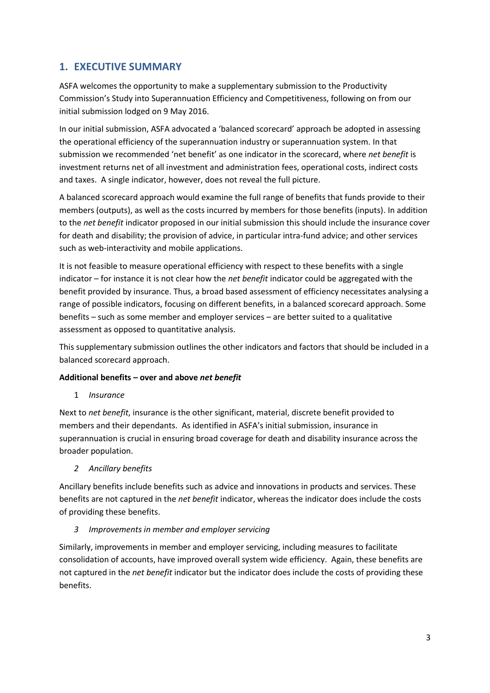## <span id="page-2-0"></span>**1. EXECUTIVE SUMMARY**

ASFA welcomes the opportunity to make a supplementary submission to the Productivity Commission's Study into Superannuation Efficiency and Competitiveness, following on from our initial submission lodged on 9 May 2016.

In our initial submission, ASFA advocated a 'balanced scorecard' approach be adopted in assessing the operational efficiency of the superannuation industry or superannuation system. In that submission we recommended 'net benefit' as one indicator in the scorecard, where *net benefit* is investment returns net of all investment and administration fees, operational costs, indirect costs and taxes. A single indicator, however, does not reveal the full picture.

A balanced scorecard approach would examine the full range of benefits that funds provide to their members (outputs), as well as the costs incurred by members for those benefits (inputs). In addition to the *net benefit* indicator proposed in our initial submission this should include the insurance cover for death and disability; the provision of advice, in particular intra-fund advice; and other services such as web-interactivity and mobile applications.

It is not feasible to measure operational efficiency with respect to these benefits with a single indicator – for instance it is not clear how the *net benefit* indicator could be aggregated with the benefit provided by insurance. Thus, a broad based assessment of efficiency necessitates analysing a range of possible indicators, focusing on different benefits, in a balanced scorecard approach. Some benefits – such as some member and employer services – are better suited to a qualitative assessment as opposed to quantitative analysis.

This supplementary submission outlines the other indicators and factors that should be included in a balanced scorecard approach.

## **Additional benefits – over and above** *net benefit*

1 *Insurance*

Next to *net benefit*, insurance is the other significant, material, discrete benefit provided to members and their dependants. As identified in ASFA's initial submission, insurance in superannuation is crucial in ensuring broad coverage for death and disability insurance across the broader population.

*2 Ancillary benefits*

Ancillary benefits include benefits such as advice and innovations in products and services. These benefits are not captured in the *net benefit* indicator, whereas the indicator does include the costs of providing these benefits.

## *3 Improvements in member and employer servicing*

Similarly, improvements in member and employer servicing, including measures to facilitate consolidation of accounts, have improved overall system wide efficiency. Again, these benefits are not captured in the *net benefit* indicator but the indicator does include the costs of providing these benefits.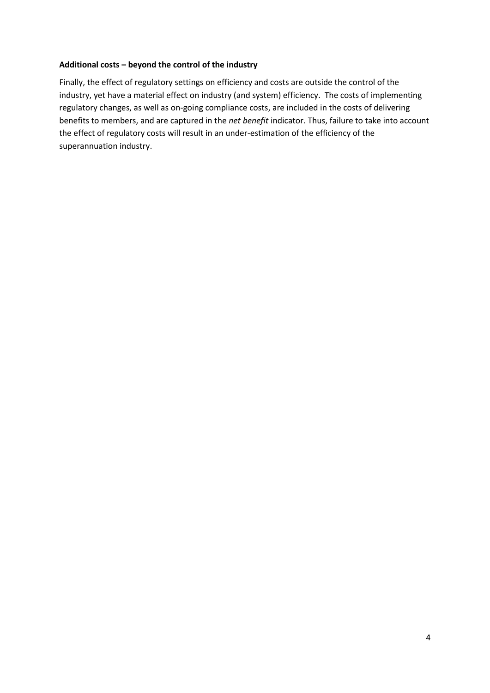### **Additional costs – beyond the control of the industry**

Finally, the effect of regulatory settings on efficiency and costs are outside the control of the industry, yet have a material effect on industry (and system) efficiency. The costs of implementing regulatory changes, as well as on-going compliance costs, are included in the costs of delivering benefits to members, and are captured in the *net benefit* indicator. Thus, failure to take into account the effect of regulatory costs will result in an under-estimation of the efficiency of the superannuation industry.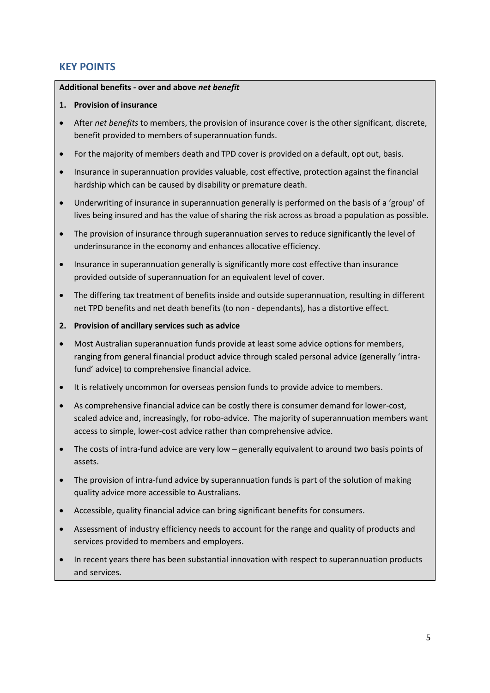## **KEY POINTS**

#### **Additional benefits - over and above** *net benefit*

### **1. Provision of insurance**

- After *net benefits* to members, the provision of insurance cover is the other significant, discrete, benefit provided to members of superannuation funds.
- For the majority of members death and TPD cover is provided on a default, opt out, basis.
- Insurance in superannuation provides valuable, cost effective, protection against the financial hardship which can be caused by disability or premature death.
- Underwriting of insurance in superannuation generally is performed on the basis of a 'group' of lives being insured and has the value of sharing the risk across as broad a population as possible.
- The provision of insurance through superannuation serves to reduce significantly the level of underinsurance in the economy and enhances allocative efficiency.
- Insurance in superannuation generally is significantly more cost effective than insurance provided outside of superannuation for an equivalent level of cover.
- The differing tax treatment of benefits inside and outside superannuation, resulting in different net TPD benefits and net death benefits (to non - dependants), has a distortive effect.
- **2. Provision of ancillary services such as advice**
- Most Australian superannuation funds provide at least some advice options for members, ranging from general financial product advice through scaled personal advice (generally 'intrafund' advice) to comprehensive financial advice.
- It is relatively uncommon for overseas pension funds to provide advice to members.
- As comprehensive financial advice can be costly there is consumer demand for lower-cost, scaled advice and, increasingly, for robo-advice. The majority of superannuation members want access to simple, lower-cost advice rather than comprehensive advice.
- The costs of intra-fund advice are very low generally equivalent to around two basis points of assets.
- The provision of intra-fund advice by superannuation funds is part of the solution of making quality advice more accessible to Australians.
- Accessible, quality financial advice can bring significant benefits for consumers.
- Assessment of industry efficiency needs to account for the range and quality of products and services provided to members and employers.
- In recent years there has been substantial innovation with respect to superannuation products and services.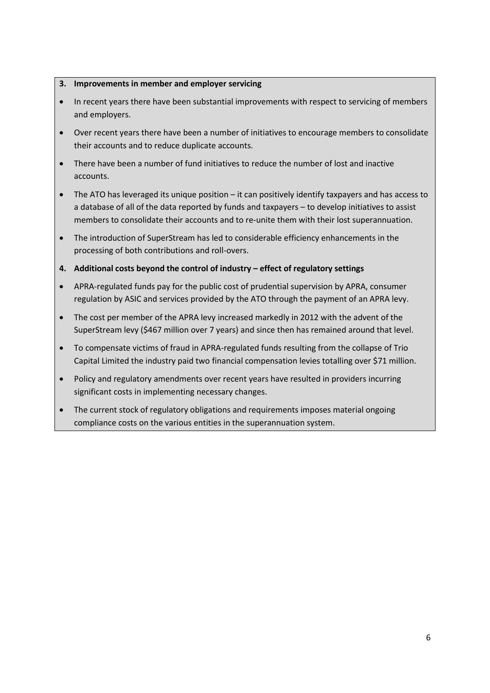### **3. Improvements in member and employer servicing**

- In recent years there have been substantial improvements with respect to servicing of members and employers.
- Over recent years there have been a number of initiatives to encourage members to consolidate their accounts and to reduce duplicate accounts.
- There have been a number of fund initiatives to reduce the number of lost and inactive accounts.
- The ATO has leveraged its unique position it can positively identify taxpayers and has access to a database of all of the data reported by funds and taxpayers – to develop initiatives to assist members to consolidate their accounts and to re-unite them with their lost superannuation.
- The introduction of SuperStream has led to considerable efficiency enhancements in the processing of both contributions and roll-overs.
- **4. Additional costs beyond the control of industry – effect of regulatory settings**
- APRA-regulated funds pay for the public cost of prudential supervision by APRA, consumer regulation by ASIC and services provided by the ATO through the payment of an APRA levy.
- The cost per member of the APRA levy increased markedly in 2012 with the advent of the SuperStream levy (\$467 million over 7 years) and since then has remained around that level.
- To compensate victims of fraud in APRA-regulated funds resulting from the collapse of Trio Capital Limited the industry paid two financial compensation levies totalling over \$71 million.
- Policy and regulatory amendments over recent years have resulted in providers incurring significant costs in implementing necessary changes.
- The current stock of regulatory obligations and requirements imposes material ongoing compliance costs on the various entities in the superannuation system.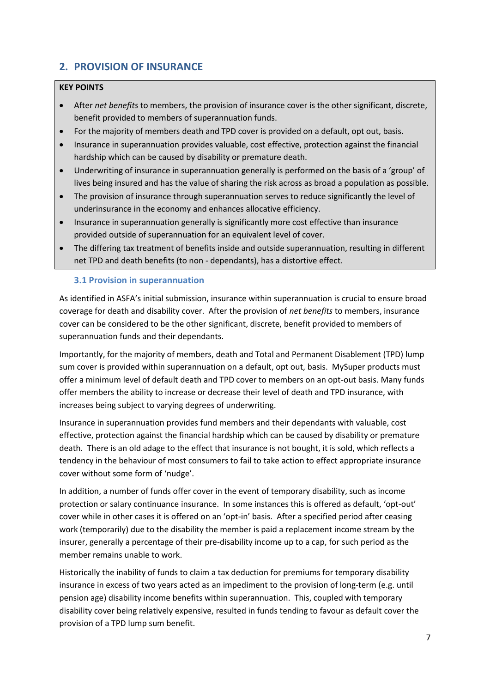## <span id="page-6-0"></span>**2. PROVISION OF INSURANCE**

## **KEY POINTS**

- After *net benefits* to members, the provision of insurance cover is the other significant, discrete, benefit provided to members of superannuation funds.
- For the majority of members death and TPD cover is provided on a default, opt out, basis.
- Insurance in superannuation provides valuable, cost effective, protection against the financial hardship which can be caused by disability or premature death.
- Underwriting of insurance in superannuation generally is performed on the basis of a 'group' of lives being insured and has the value of sharing the risk across as broad a population as possible.
- The provision of insurance through superannuation serves to reduce significantly the level of underinsurance in the economy and enhances allocative efficiency.
- Insurance in superannuation generally is significantly more cost effective than insurance provided outside of superannuation for an equivalent level of cover.
- The differing tax treatment of benefits inside and outside superannuation, resulting in different net TPD and death benefits (to non - dependants), has a distortive effect.

## <span id="page-6-1"></span>**3.1 Provision in superannuation**

As identified in ASFA's initial submission, insurance within superannuation is crucial to ensure broad coverage for death and disability cover. After the provision of *net benefits* to members, insurance cover can be considered to be the other significant, discrete, benefit provided to members of superannuation funds and their dependants.

Importantly, for the majority of members, death and Total and Permanent Disablement (TPD) lump sum cover is provided within superannuation on a default, opt out, basis. MySuper products must offer a minimum level of default death and TPD cover to members on an opt-out basis. Many funds offer members the ability to increase or decrease their level of death and TPD insurance, with increases being subject to varying degrees of underwriting.

Insurance in superannuation provides fund members and their dependants with valuable, cost effective, protection against the financial hardship which can be caused by disability or premature death. There is an old adage to the effect that insurance is not bought, it is sold, which reflects a tendency in the behaviour of most consumers to fail to take action to effect appropriate insurance cover without some form of 'nudge'.

In addition, a number of funds offer cover in the event of temporary disability, such as income protection or salary continuance insurance. In some instances this is offered as default, 'opt-out' cover while in other cases it is offered on an 'opt-in' basis. After a specified period after ceasing work (temporarily) due to the disability the member is paid a replacement income stream by the insurer, generally a percentage of their pre-disability income up to a cap, for such period as the member remains unable to work.

Historically the inability of funds to claim a tax deduction for premiums for temporary disability insurance in excess of two years acted as an impediment to the provision of long-term (e.g. until pension age) disability income benefits within superannuation. This, coupled with temporary disability cover being relatively expensive, resulted in funds tending to favour as default cover the provision of a TPD lump sum benefit.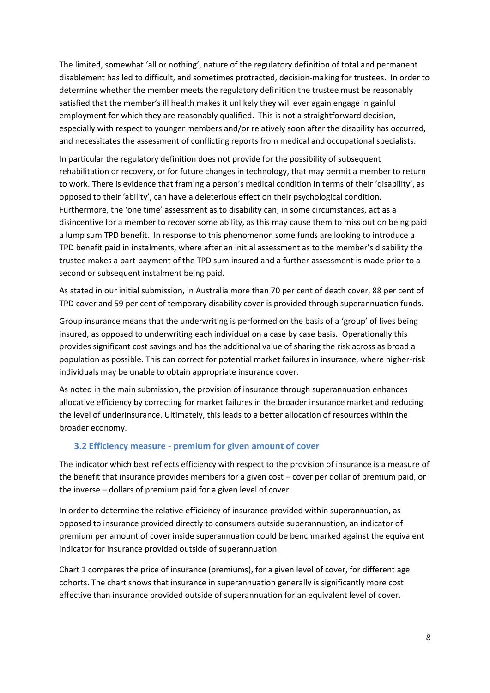The limited, somewhat 'all or nothing', nature of the regulatory definition of total and permanent disablement has led to difficult, and sometimes protracted, decision-making for trustees. In order to determine whether the member meets the regulatory definition the trustee must be reasonably satisfied that the member's ill health makes it unlikely they will ever again engage in gainful employment for which they are reasonably qualified. This is not a straightforward decision, especially with respect to younger members and/or relatively soon after the disability has occurred, and necessitates the assessment of conflicting reports from medical and occupational specialists.

In particular the regulatory definition does not provide for the possibility of subsequent rehabilitation or recovery, or for future changes in technology, that may permit a member to return to work. There is evidence that framing a person's medical condition in terms of their 'disability', as opposed to their 'ability', can have a deleterious effect on their psychological condition. Furthermore, the 'one time' assessment as to disability can, in some circumstances, act as a disincentive for a member to recover some ability, as this may cause them to miss out on being paid a lump sum TPD benefit. In response to this phenomenon some funds are looking to introduce a TPD benefit paid in instalments, where after an initial assessment as to the member's disability the trustee makes a part-payment of the TPD sum insured and a further assessment is made prior to a second or subsequent instalment being paid.

As stated in our initial submission, in Australia more than 70 per cent of death cover, 88 per cent of TPD cover and 59 per cent of temporary disability cover is provided through superannuation funds.

Group insurance means that the underwriting is performed on the basis of a 'group' of lives being insured, as opposed to underwriting each individual on a case by case basis. Operationally this provides significant cost savings and has the additional value of sharing the risk across as broad a population as possible. This can correct for potential market failures in insurance, where higher-risk individuals may be unable to obtain appropriate insurance cover.

As noted in the main submission, the provision of insurance through superannuation enhances allocative efficiency by correcting for market failures in the broader insurance market and reducing the level of underinsurance. Ultimately, this leads to a better allocation of resources within the broader economy.

#### <span id="page-7-0"></span>**3.2 Efficiency measure - premium for given amount of cover**

The indicator which best reflects efficiency with respect to the provision of insurance is a measure of the benefit that insurance provides members for a given cost – cover per dollar of premium paid, or the inverse – dollars of premium paid for a given level of cover.

In order to determine the relative efficiency of insurance provided within superannuation, as opposed to insurance provided directly to consumers outside superannuation, an indicator of premium per amount of cover inside superannuation could be benchmarked against the equivalent indicator for insurance provided outside of superannuation.

Chart 1 compares the price of insurance (premiums), for a given level of cover, for different age cohorts. The chart shows that insurance in superannuation generally is significantly more cost effective than insurance provided outside of superannuation for an equivalent level of cover.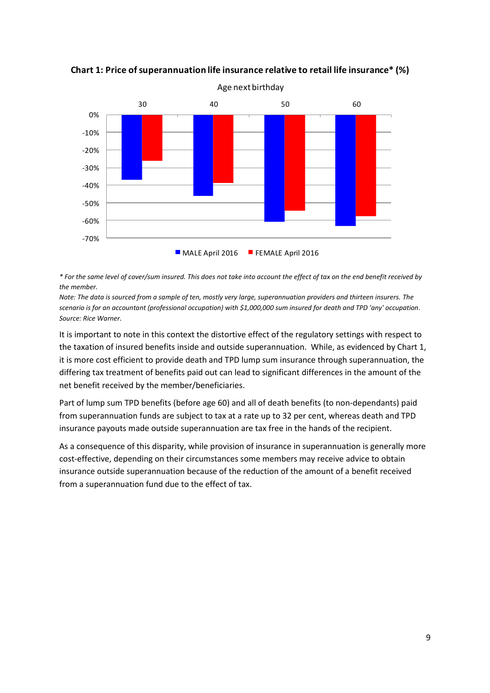-70% -60% -50%  $-40%$ -30% -20% -10% 0 % superannuation me insurance relative to retail me institution.<br>Age next birthday<br>30  $40$  50  $60$ MALE April 2016 FEMALE April 2016 Age next birthday

**Chart 1: Price of superannuation life insurance relative to retail life insurance\* (%)**

*\* For the same level of cover/sum insured. This does not take into account the effect of tax on the end benefit received by the member.*

*Note: The data is sourced from a sample of ten, mostly very large, superannuation providers and thirteen insurers. The scenario is for an accountant (professional occupation) with \$1,000,000 sum insured for death and TPD 'any' occupation. Source: Rice Warner.*

It is important to note in this context the distortive effect of the regulatory settings with respect to the taxation of insured benefits inside and outside superannuation. While, as evidenced by Chart 1, it is more cost efficient to provide death and TPD lump sum insurance through superannuation, the differing tax treatment of benefits paid out can lead to significant differences in the amount of the net benefit received by the member/beneficiaries.

Part of lump sum TPD benefits (before age 60) and all of death benefits (to non-dependants) paid from superannuation funds are subject to tax at a rate up to 32 per cent, whereas death and TPD insurance payouts made outside superannuation are tax free in the hands of the recipient.

As a consequence of this disparity, while provision of insurance in superannuation is generally more cost-effective, depending on their circumstances some members may receive advice to obtain insurance outside superannuation because of the reduction of the amount of a benefit received from a superannuation fund due to the effect of tax.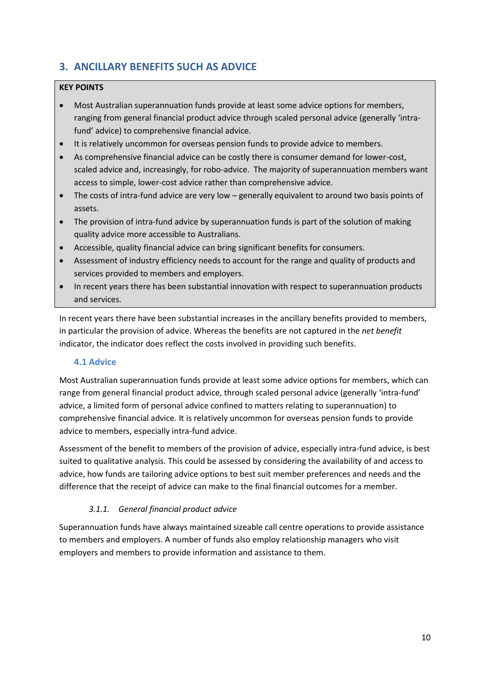## <span id="page-9-0"></span>**3. ANCILLARY BENEFITS SUCH AS ADVICE**

## **KEY POINTS**

- Most Australian superannuation funds provide at least some advice options for members, ranging from general financial product advice through scaled personal advice (generally 'intrafund' advice) to comprehensive financial advice.
- It is relatively uncommon for overseas pension funds to provide advice to members.
- As comprehensive financial advice can be costly there is consumer demand for lower-cost, scaled advice and, increasingly, for robo-advice. The majority of superannuation members want access to simple, lower-cost advice rather than comprehensive advice.
- The costs of intra-fund advice are very low generally equivalent to around two basis points of assets.
- The provision of intra-fund advice by superannuation funds is part of the solution of making quality advice more accessible to Australians.
- Accessible, quality financial advice can bring significant benefits for consumers.
- Assessment of industry efficiency needs to account for the range and quality of products and services provided to members and employers.
- In recent years there has been substantial innovation with respect to superannuation products and services.

In recent years there have been substantial increases in the ancillary benefits provided to members, in particular the provision of advice. Whereas the benefits are not captured in the *net benefit* indicator, the indicator does reflect the costs involved in providing such benefits.

## <span id="page-9-1"></span>**4.1 Advice**

Most Australian superannuation funds provide at least some advice options for members, which can range from general financial product advice, through scaled personal advice (generally 'intra-fund' advice, a limited form of personal advice confined to matters relating to superannuation) to comprehensive financial advice. It is relatively uncommon for overseas pension funds to provide advice to members, especially intra-fund advice.

Assessment of the benefit to members of the provision of advice, especially intra-fund advice, is best suited to qualitative analysis. This could be assessed by considering the availability of and access to advice, how funds are tailoring advice options to best suit member preferences and needs and the difference that the receipt of advice can make to the final financial outcomes for a member.

## *3.1.1. General financial product advice*

Superannuation funds have always maintained sizeable call centre operations to provide assistance to members and employers. A number of funds also employ relationship managers who visit employers and members to provide information and assistance to them.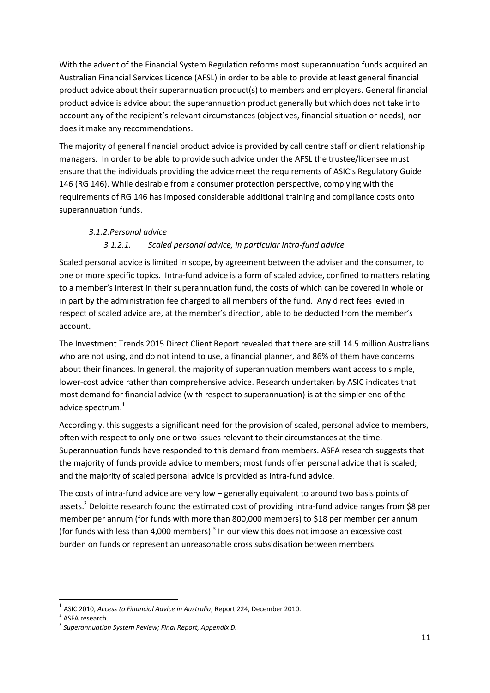With the advent of the Financial System Regulation reforms most superannuation funds acquired an Australian Financial Services Licence (AFSL) in order to be able to provide at least general financial product advice about their superannuation product(s) to members and employers. General financial product advice is advice about the superannuation product generally but which does not take into account any of the recipient's relevant circumstances (objectives, financial situation or needs), nor does it make any recommendations.

The majority of general financial product advice is provided by call centre staff or client relationship managers. In order to be able to provide such advice under the AFSL the trustee/licensee must ensure that the individuals providing the advice meet the requirements of ASIC's Regulatory Guide 146 (RG 146). While desirable from a consumer protection perspective, complying with the requirements of RG 146 has imposed considerable additional training and compliance costs onto superannuation funds.

## *3.1.2.Personal advice*

## *3.1.2.1. Scaled personal advice, in particular intra-fund advice*

Scaled personal advice is limited in scope, by agreement between the adviser and the consumer, to one or more specific topics. Intra-fund advice is a form of scaled advice, confined to matters relating to a member's interest in their superannuation fund, the costs of which can be covered in whole or in part by the administration fee charged to all members of the fund. Any direct fees levied in respect of scaled advice are, at the member's direction, able to be deducted from the member's account.

The Investment Trends 2015 Direct Client Report revealed that there are still 14.5 million Australians who are not using, and do not intend to use, a financial planner, and 86% of them have concerns about their finances. In general, the majority of superannuation members want access to simple, lower-cost advice rather than comprehensive advice. Research undertaken by ASIC indicates that most demand for financial advice (with respect to superannuation) is at the simpler end of the advice spectrum.<sup>1</sup>

Accordingly, this suggests a significant need for the provision of scaled, personal advice to members, often with respect to only one or two issues relevant to their circumstances at the time. Superannuation funds have responded to this demand from members. ASFA research suggests that the majority of funds provide advice to members; most funds offer personal advice that is scaled; and the majority of scaled personal advice is provided as intra-fund advice.

The costs of intra-fund advice are very low – generally equivalent to around two basis points of assets.<sup>2</sup> Deloitte research found the estimated cost of providing intra-fund advice ranges from \$8 per member per annum (for funds with more than 800,000 members) to \$18 per member per annum (for funds with less than 4,000 members). $3$  In our view this does not impose an excessive cost burden on funds or represent an unreasonable cross subsidisation between members.

**.** 

<sup>1</sup> ASIC 2010, *Access to Financial Advice in Australia*, Report 224, December 2010.

<sup>&</sup>lt;sup>2</sup> ASFA research.

<sup>3</sup> *Superannuation System Review; Final Report, Appendix D.*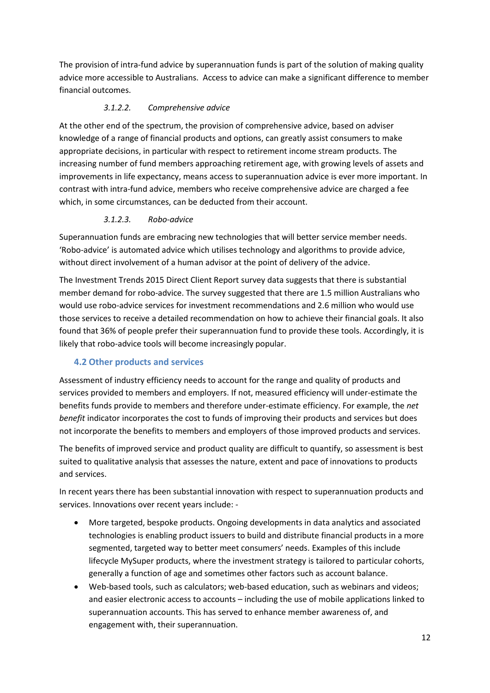The provision of intra-fund advice by superannuation funds is part of the solution of making quality advice more accessible to Australians. Access to advice can make a significant difference to member financial outcomes.

## *3.1.2.2. Comprehensive advice*

At the other end of the spectrum, the provision of comprehensive advice, based on adviser knowledge of a range of financial products and options, can greatly assist consumers to make appropriate decisions, in particular with respect to retirement income stream products. The increasing number of fund members approaching retirement age, with growing levels of assets and improvements in life expectancy, means access to superannuation advice is ever more important. In contrast with intra-fund advice, members who receive comprehensive advice are charged a fee which, in some circumstances, can be deducted from their account.

## *3.1.2.3. Robo-advice*

Superannuation funds are embracing new technologies that will better service member needs. 'Robo-advice' is automated advice which utilises technology and algorithms to provide advice, without direct involvement of a human advisor at the point of delivery of the advice.

The Investment Trends 2015 Direct Client Report survey data suggests that there is substantial member demand for robo-advice. The survey suggested that there are 1.5 million Australians who would use robo-advice services for investment recommendations and 2.6 million who would use those services to receive a detailed recommendation on how to achieve their financial goals. It also found that 36% of people prefer their superannuation fund to provide these tools. Accordingly, it is likely that robo-advice tools will become increasingly popular.

## <span id="page-11-0"></span>**4.2 Other products and services**

Assessment of industry efficiency needs to account for the range and quality of products and services provided to members and employers. If not, measured efficiency will under-estimate the benefits funds provide to members and therefore under-estimate efficiency. For example, the *net benefit* indicator incorporates the cost to funds of improving their products and services but does not incorporate the benefits to members and employers of those improved products and services.

The benefits of improved service and product quality are difficult to quantify, so assessment is best suited to qualitative analysis that assesses the nature, extent and pace of innovations to products and services.

In recent years there has been substantial innovation with respect to superannuation products and services. Innovations over recent years include: -

- More targeted, bespoke products. Ongoing developments in data analytics and associated technologies is enabling product issuers to build and distribute financial products in a more segmented, targeted way to better meet consumers' needs. Examples of this include lifecycle MySuper products, where the investment strategy is tailored to particular cohorts, generally a function of age and sometimes other factors such as account balance.
- Web-based tools, such as calculators; web-based education, such as webinars and videos; and easier electronic access to accounts – including the use of mobile applications linked to superannuation accounts. This has served to enhance member awareness of, and engagement with, their superannuation.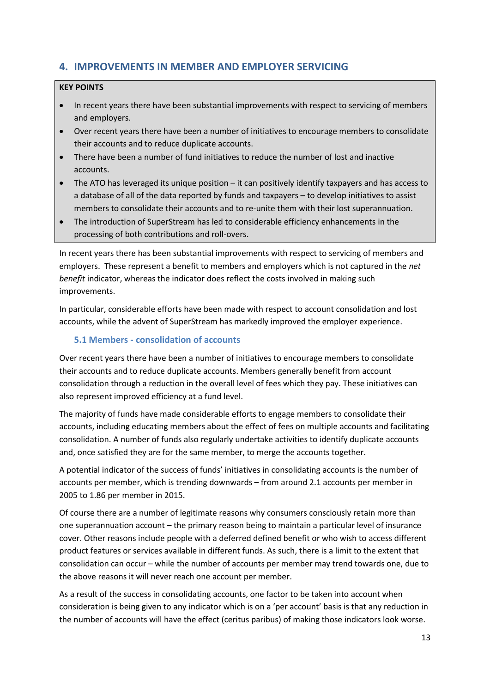## <span id="page-12-0"></span>**4. IMPROVEMENTS IN MEMBER AND EMPLOYER SERVICING**

## **KEY POINTS**

- In recent years there have been substantial improvements with respect to servicing of members and employers.
- Over recent years there have been a number of initiatives to encourage members to consolidate their accounts and to reduce duplicate accounts.
- There have been a number of fund initiatives to reduce the number of lost and inactive accounts.
- The ATO has leveraged its unique position it can positively identify taxpayers and has access to a database of all of the data reported by funds and taxpayers – to develop initiatives to assist members to consolidate their accounts and to re-unite them with their lost superannuation.
- The introduction of SuperStream has led to considerable efficiency enhancements in the processing of both contributions and roll-overs.

In recent years there has been substantial improvements with respect to servicing of members and employers. These represent a benefit to members and employers which is not captured in the *net benefit* indicator, whereas the indicator does reflect the costs involved in making such improvements.

In particular, considerable efforts have been made with respect to account consolidation and lost accounts, while the advent of SuperStream has markedly improved the employer experience.

## <span id="page-12-1"></span>**5.1 Members - consolidation of accounts**

Over recent years there have been a number of initiatives to encourage members to consolidate their accounts and to reduce duplicate accounts. Members generally benefit from account consolidation through a reduction in the overall level of fees which they pay. These initiatives can also represent improved efficiency at a fund level.

The majority of funds have made considerable efforts to engage members to consolidate their accounts, including educating members about the effect of fees on multiple accounts and facilitating consolidation. A number of funds also regularly undertake activities to identify duplicate accounts and, once satisfied they are for the same member, to merge the accounts together.

A potential indicator of the success of funds' initiatives in consolidating accounts is the number of accounts per member, which is trending downwards – from around 2.1 accounts per member in 2005 to 1.86 per member in 2015.

Of course there are a number of legitimate reasons why consumers consciously retain more than one superannuation account – the primary reason being to maintain a particular level of insurance cover. Other reasons include people with a deferred defined benefit or who wish to access different product features or services available in different funds. As such, there is a limit to the extent that consolidation can occur – while the number of accounts per member may trend towards one, due to the above reasons it will never reach one account per member.

As a result of the success in consolidating accounts, one factor to be taken into account when consideration is being given to any indicator which is on a 'per account' basis is that any reduction in the number of accounts will have the effect (ceritus paribus) of making those indicators look worse.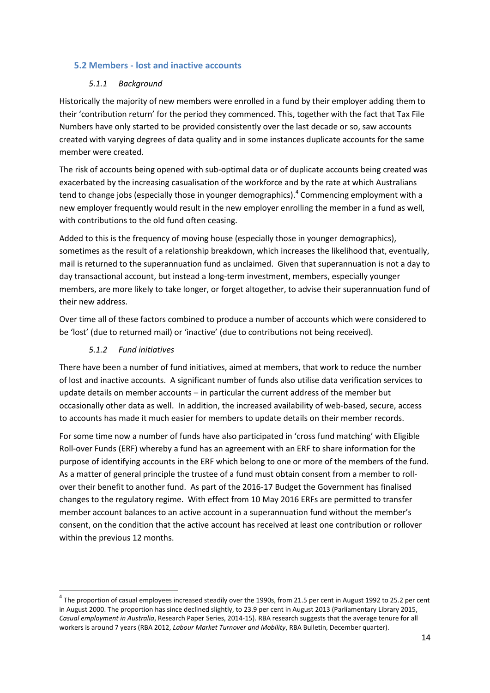## <span id="page-13-0"></span>**5.2 Members - lost and inactive accounts**

## *5.1.1 Background*

Historically the majority of new members were enrolled in a fund by their employer adding them to their 'contribution return' for the period they commenced. This, together with the fact that Tax File Numbers have only started to be provided consistently over the last decade or so, saw accounts created with varying degrees of data quality and in some instances duplicate accounts for the same member were created.

The risk of accounts being opened with sub-optimal data or of duplicate accounts being created was exacerbated by the increasing casualisation of the workforce and by the rate at which Australians tend to change jobs (especially those in younger demographics).<sup>4</sup> Commencing employment with a new employer frequently would result in the new employer enrolling the member in a fund as well, with contributions to the old fund often ceasing.

Added to this is the frequency of moving house (especially those in younger demographics), sometimes as the result of a relationship breakdown, which increases the likelihood that, eventually, mail is returned to the superannuation fund as unclaimed. Given that superannuation is not a day to day transactional account, but instead a long-term investment, members, especially younger members, are more likely to take longer, or forget altogether, to advise their superannuation fund of their new address.

Over time all of these factors combined to produce a number of accounts which were considered to be 'lost' (due to returned mail) or 'inactive' (due to contributions not being received).

## *5.1.2 Fund initiatives*

**.** 

There have been a number of fund initiatives, aimed at members, that work to reduce the number of lost and inactive accounts. A significant number of funds also utilise data verification services to update details on member accounts – in particular the current address of the member but occasionally other data as well. In addition, the increased availability of web-based, secure, access to accounts has made it much easier for members to update details on their member records.

For some time now a number of funds have also participated in 'cross fund matching' with Eligible Roll-over Funds (ERF) whereby a fund has an agreement with an ERF to share information for the purpose of identifying accounts in the ERF which belong to one or more of the members of the fund. As a matter of general principle the trustee of a fund must obtain consent from a member to rollover their benefit to another fund. As part of the 2016-17 Budget the Government has finalised changes to the regulatory regime. With effect from 10 May 2016 ERFs are permitted to transfer member account balances to an active account in a superannuation fund without the member's consent, on the condition that the active account has received at least one contribution or rollover within the previous 12 months.

 $^4$  The proportion of casual employees increased steadily over the 1990s, from 21.5 per cent in August 1992 to 25.2 per cent in August 2000. The proportion has since declined slightly, to 23.9 per cent in August 2013 (Parliamentary Library 2015, *Casual employment in Australia*, Research Paper Series, 2014-15). RBA research suggests that the average tenure for all workers is around 7 years (RBA 2012, *Labour Market Turnover and Mobility*, RBA Bulletin, December quarter).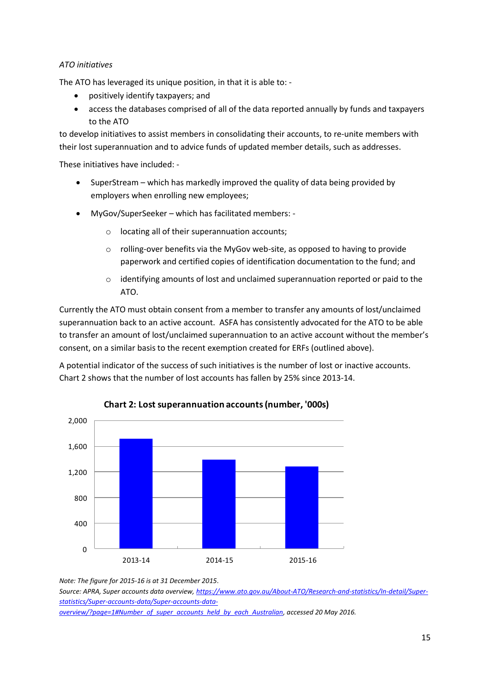### *ATO initiatives*

The ATO has leveraged its unique position, in that it is able to: -

- positively identify taxpayers; and
- access the databases comprised of all of the data reported annually by funds and taxpayers to the ATO

to develop initiatives to assist members in consolidating their accounts, to re-unite members with their lost superannuation and to advice funds of updated member details, such as addresses.

These initiatives have included: -

- SuperStream which has markedly improved the quality of data being provided by employers when enrolling new employees;
- MyGov/SuperSeeker which has facilitated members:
	- o locating all of their superannuation accounts;
	- $\circ$  rolling-over benefits via the MyGov web-site, as opposed to having to provide paperwork and certified copies of identification documentation to the fund; and
	- $\circ$  identifying amounts of lost and unclaimed superannuation reported or paid to the ATO.

Currently the ATO must obtain consent from a member to transfer any amounts of lost/unclaimed superannuation back to an active account. ASFA has consistently advocated for the ATO to be able to transfer an amount of lost/unclaimed superannuation to an active account without the member's consent, on a similar basis to the recent exemption created for ERFs (outlined above).

A potential indicator of the success of such initiatives is the number of lost or inactive accounts. Chart 2 shows that the number of lost accounts has fallen by 25% since 2013-14.



#### **Chart 2: Lost superannuation accounts (number, '000s)**

*Note: The figure for 2015-16 is at 31 December 2015*.

*Source: APRA, Super accounts data overview[, https://www.ato.gov.au/About-ATO/Research-and-statistics/In-detail/Super](https://www.ato.gov.au/About-ATO/Research-and-statistics/In-detail/Super-statistics/Super-accounts-data/Super-accounts-data-overview/?page=1#Number_of_super_accounts_held_by_each_Australian)[statistics/Super-accounts-data/Super-accounts-data-](https://www.ato.gov.au/About-ATO/Research-and-statistics/In-detail/Super-statistics/Super-accounts-data/Super-accounts-data-overview/?page=1#Number_of_super_accounts_held_by_each_Australian)*

*[overview/?page=1#Number\\_of\\_super\\_accounts\\_held\\_by\\_each\\_Australian,](https://www.ato.gov.au/About-ATO/Research-and-statistics/In-detail/Super-statistics/Super-accounts-data/Super-accounts-data-overview/?page=1#Number_of_super_accounts_held_by_each_Australian) accessed 20 May 2016.*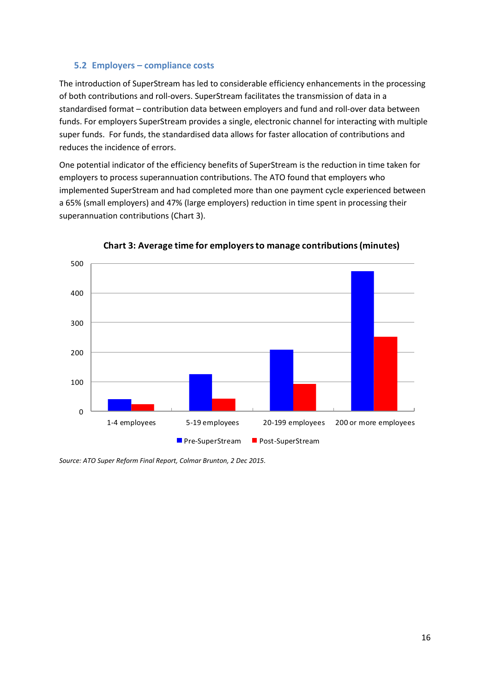## <span id="page-15-0"></span>**5.2 Employers – compliance costs**

The introduction of SuperStream has led to considerable efficiency enhancements in the processing of both contributions and roll-overs. SuperStream facilitates the transmission of data in a standardised format – contribution data between employers and fund and roll-over data between funds. For employers SuperStream provides a single, electronic channel for interacting with multiple super funds. For funds, the standardised data allows for faster allocation of contributions and reduces the incidence of errors.

One potential indicator of the efficiency benefits of SuperStream is the reduction in time taken for employers to process superannuation contributions. The ATO found that employers who implemented SuperStream and had completed more than one payment cycle experienced between a 65% (small employers) and 47% (large employers) reduction in time spent in processing their superannuation contributions (Chart 3).



**Chart 3: Average time for employers to manage contributions (minutes)**

*Source: ATO Super Reform Final Report, Colmar Brunton, 2 Dec 2015.*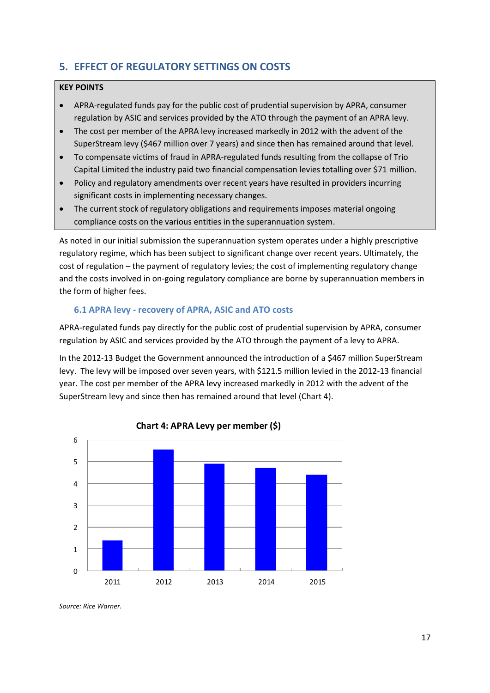## <span id="page-16-0"></span>**5. EFFECT OF REGULATORY SETTINGS ON COSTS**

### **KEY POINTS**

- APRA-regulated funds pay for the public cost of prudential supervision by APRA, consumer regulation by ASIC and services provided by the ATO through the payment of an APRA levy.
- The cost per member of the APRA levy increased markedly in 2012 with the advent of the SuperStream levy (\$467 million over 7 years) and since then has remained around that level.
- To compensate victims of fraud in APRA-regulated funds resulting from the collapse of Trio Capital Limited the industry paid two financial compensation levies totalling over \$71 million.
- Policy and regulatory amendments over recent years have resulted in providers incurring significant costs in implementing necessary changes.
- The current stock of regulatory obligations and requirements imposes material ongoing compliance costs on the various entities in the superannuation system.

As noted in our initial submission the superannuation system operates under a highly prescriptive regulatory regime, which has been subject to significant change over recent years. Ultimately, the cost of regulation – the payment of regulatory levies; the cost of implementing regulatory change and the costs involved in on-going regulatory compliance are borne by superannuation members in the form of higher fees.

## <span id="page-16-1"></span>**6.1 APRA levy - recovery of APRA, ASIC and ATO costs**

APRA-regulated funds pay directly for the public cost of prudential supervision by APRA, consumer regulation by ASIC and services provided by the ATO through the payment of a levy to APRA.

In the 2012-13 Budget the Government announced the introduction of a \$467 million SuperStream levy. The levy will be imposed over seven years, with \$121.5 million levied in the 2012-13 financial year. The cost per member of the APRA levy increased markedly in 2012 with the advent of the SuperStream levy and since then has remained around that level (Chart 4).





*Source: Rice Warner.*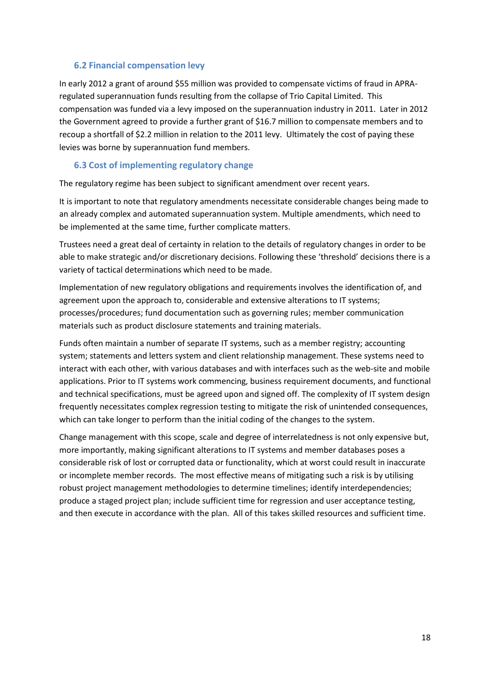## <span id="page-17-0"></span>**6.2 Financial compensation levy**

In early 2012 a grant of around \$55 million was provided to compensate victims of fraud in APRAregulated superannuation funds resulting from the collapse of Trio Capital Limited. This compensation was funded via a levy imposed on the superannuation industry in 2011. Later in 2012 the Government agreed to provide a further grant of \$16.7 million to compensate members and to recoup a shortfall of \$2.2 million in relation to the 2011 levy. Ultimately the cost of paying these levies was borne by superannuation fund members.

## <span id="page-17-1"></span>**6.3 Cost of implementing regulatory change**

The regulatory regime has been subject to significant amendment over recent years.

It is important to note that regulatory amendments necessitate considerable changes being made to an already complex and automated superannuation system. Multiple amendments, which need to be implemented at the same time, further complicate matters.

Trustees need a great deal of certainty in relation to the details of regulatory changes in order to be able to make strategic and/or discretionary decisions. Following these 'threshold' decisions there is a variety of tactical determinations which need to be made.

Implementation of new regulatory obligations and requirements involves the identification of, and agreement upon the approach to, considerable and extensive alterations to IT systems; processes/procedures; fund documentation such as governing rules; member communication materials such as product disclosure statements and training materials.

Funds often maintain a number of separate IT systems, such as a member registry; accounting system; statements and letters system and client relationship management. These systems need to interact with each other, with various databases and with interfaces such as the web-site and mobile applications. Prior to IT systems work commencing, business requirement documents, and functional and technical specifications, must be agreed upon and signed off. The complexity of IT system design frequently necessitates complex regression testing to mitigate the risk of unintended consequences, which can take longer to perform than the initial coding of the changes to the system.

Change management with this scope, scale and degree of interrelatedness is not only expensive but, more importantly, making significant alterations to IT systems and member databases poses a considerable risk of lost or corrupted data or functionality, which at worst could result in inaccurate or incomplete member records. The most effective means of mitigating such a risk is by utilising robust project management methodologies to determine timelines; identify interdependencies; produce a staged project plan; include sufficient time for regression and user acceptance testing, and then execute in accordance with the plan. All of this takes skilled resources and sufficient time.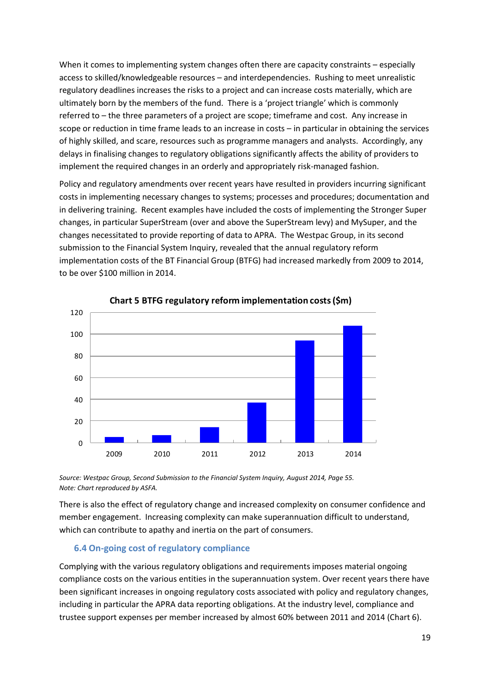When it comes to implementing system changes often there are capacity constraints – especially access to skilled/knowledgeable resources – and interdependencies. Rushing to meet unrealistic regulatory deadlines increases the risks to a project and can increase costs materially, which are ultimately born by the members of the fund. There is a 'project triangle' which is commonly referred to – the three parameters of a project are scope; timeframe and cost. Any increase in scope or reduction in time frame leads to an increase in costs – in particular in obtaining the services of highly skilled, and scare, resources such as programme managers and analysts. Accordingly, any delays in finalising changes to regulatory obligations significantly affects the ability of providers to implement the required changes in an orderly and appropriately risk-managed fashion.

Policy and regulatory amendments over recent years have resulted in providers incurring significant costs in implementing necessary changes to systems; processes and procedures; documentation and in delivering training. Recent examples have included the costs of implementing the Stronger Super changes, in particular SuperStream (over and above the SuperStream levy) and MySuper, and the changes necessitated to provide reporting of data to APRA. The Westpac Group, in its second submission to the Financial System Inquiry, revealed that the annual regulatory reform implementation costs of the BT Financial Group (BTFG) had increased markedly from 2009 to 2014, to be over \$100 million in 2014.



**Chart 5 BTFG regulatory reform implementation costs (\$m)**

*Source: Westpac Group, Second Submission to the Financial System Inquiry, August 2014, Page 55. Note: Chart reproduced by ASFA.*

There is also the effect of regulatory change and increased complexity on consumer confidence and member engagement. Increasing complexity can make superannuation difficult to understand, which can contribute to apathy and inertia on the part of consumers.

## <span id="page-18-0"></span>**6.4 On-going cost of regulatory compliance**

Complying with the various regulatory obligations and requirements imposes material ongoing compliance costs on the various entities in the superannuation system. Over recent years there have been significant increases in ongoing regulatory costs associated with policy and regulatory changes, including in particular the APRA data reporting obligations. At the industry level, compliance and trustee support expenses per member increased by almost 60% between 2011 and 2014 (Chart 6).